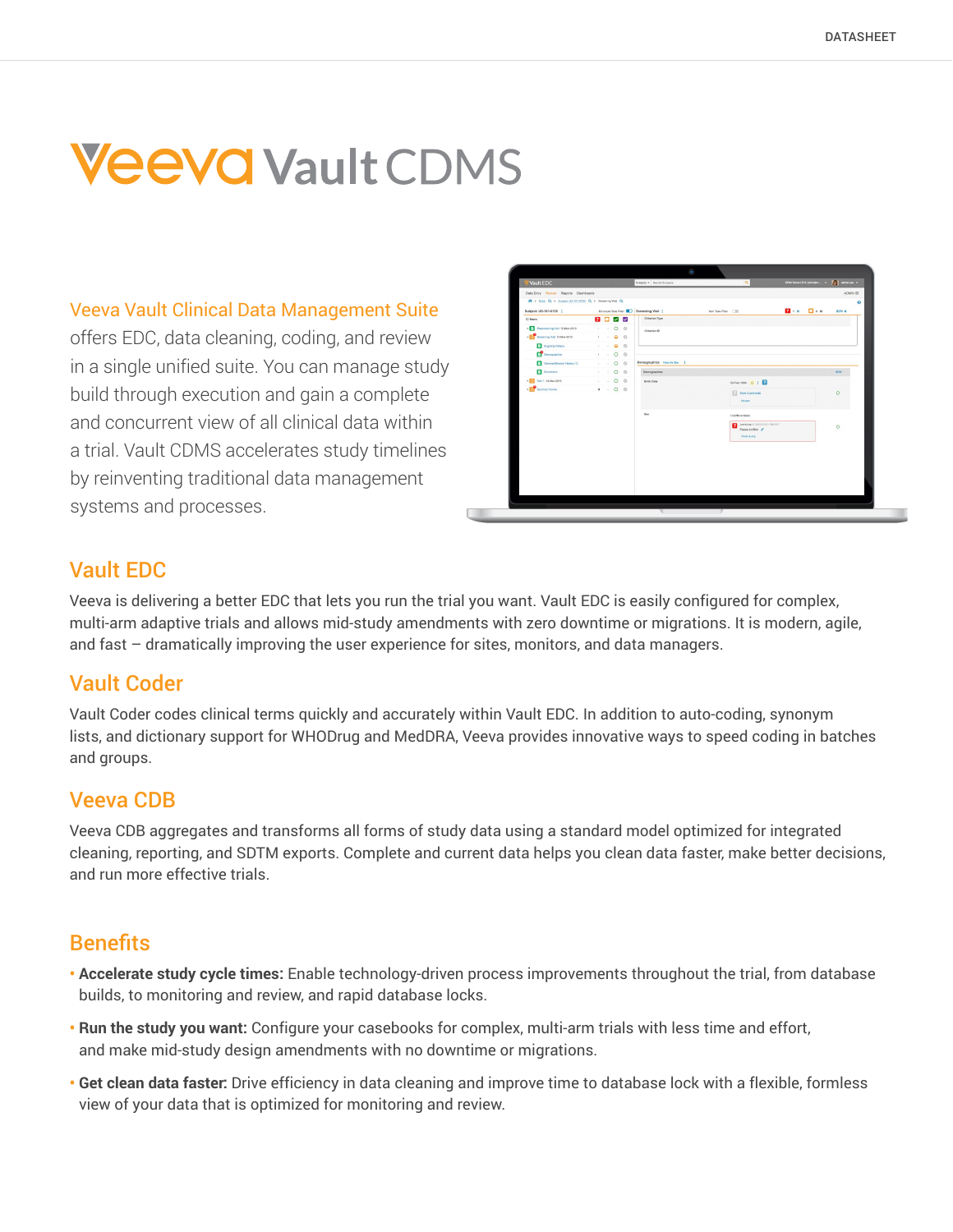# **Veeva Vault CDMS**

### [Veeva Vault C](https://www.veeva.com/products/clinical-data-management/)linical Data Management Suite

offers EDC, data cleaning, coding, and review in a single unified suite. You can manage study build through execution and gain a complete and concurrent view of all clinical data within a trial. Vault CDMS accelerates study timelines by reinventing traditional data management systems and processes.

| Vault EDC                                              |                     |  | Subjects = Search Subjects                     | $\alpha$                                                | CEM Damo LR 3 (condem -   C   Janie Lee - |
|--------------------------------------------------------|---------------------|--|------------------------------------------------|---------------------------------------------------------|-------------------------------------------|
| Data Entry Review Reports Dashboards                   |                     |  |                                                |                                                         | ADMIN ®                                   |
| ₩ > Date Q > Subject US-101-0135 Q > Screening Visit Q |                     |  |                                                |                                                         | $\circ$                                   |
| Subject: US-101-0135                                   |                     |  | Schepule Task Fiber <b>DET</b> Screening Visit | 2 1 H D 1 H<br><b>Ben Task Fiber [18]</b>               | SOV N                                     |
| (i) Name                                               | <b>2 9 V V</b>      |  | Oriterion Type                                 |                                                         |                                           |
| > Til Prescreaming Visit 12-Mar-2019                   | $\cdot$ 0 0         |  | Criterion ID                                   |                                                         |                                           |
| - The sevening Visit 13-Mar-2019                       | $1 - 90$            |  |                                                |                                                         |                                           |
| <b>C</b> Digitity Offers                               | $\cdot$ $\cdot$ 0 0 |  |                                                |                                                         |                                           |
| <b>FP</b> Democrachics                                 | 1.00                |  |                                                |                                                         |                                           |
| General Medical History (1)                            | $\cdot$ 0 0         |  | Demographics Vew As Site                       |                                                         |                                           |
| <b>C</b> Enrolment                                     | $\cdot$ 00          |  | Demographies                                   |                                                         | 801                                       |
| - 0 Vist 1 14-Mar-2019                                 | $\cdot$ 00          |  | <b>Birth Date</b>                              |                                                         |                                           |
| Common Forms                                           | 0.00                |  |                                                | <b>Dov Loomerts</b><br><b>Region</b>                    | $\circ$                                   |
|                                                        |                     |  | 340                                            | <b>Undfewrited</b>                                      |                                           |
|                                                        |                     |  |                                                | Ame Lee MISSON BS PMIST<br>Pease control.<br>Ocea Guery | $\circ$                                   |

## Vault EDC

Veeva is delivering a better EDC that lets you run the trial you want. Vault EDC is easily configured for complex, multi-arm adaptive trials and allows mid-study amendments with zero downtime or migrations. It is modern, agile, and fast – dramatically improving the user experience for sites, monitors, and data managers.

## Vault Coder

Vault Coder codes clinical terms quickly and accurately within Vault EDC. In addition to auto-coding, synonym lists, and dictionary support for WHODrug and MedDRA, Veeva provides innovative ways to speed coding in batches and groups.

## Veeva CDB

Veeva CDB aggregates and transforms all forms of study data using a standard model optimized for integrated cleaning, reporting, and SDTM exports. Complete and current data helps you clean data faster, make better decisions, and run more effective trials.

## Benefits

- **Accelerate study cycle times:** Enable technology-driven process improvements throughout the trial, from database builds, to monitoring and review, and rapid database locks.
- **Run the study you want:** Configure your casebooks for complex, multi-arm trials with less time and effort, and make mid-study design amendments with no downtime or migrations.
- **Get clean data faster:** Drive efficiency in data cleaning and improve time to database lock with a flexible, formless view of your data that is optimized for monitoring and review.